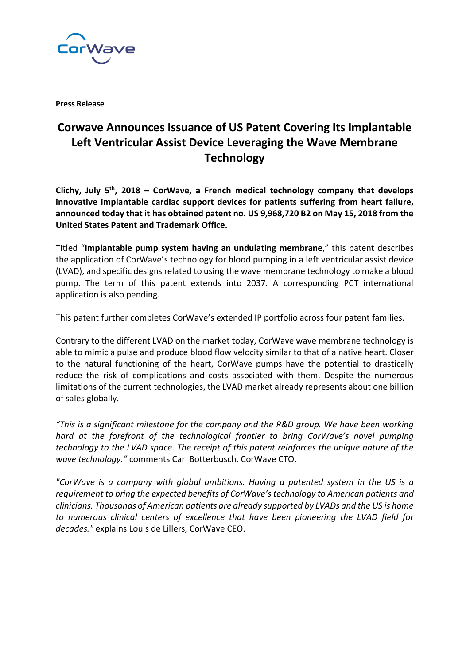

**Press Release**

## **Corwave Announces Issuance of US Patent Covering Its Implantable Left Ventricular Assist Device Leveraging the Wave Membrane Technology**

**Clichy, July 5th, 2018 – CorWave, a French medical technology company that develops innovative implantable cardiac support devices for patients suffering from heart failure, announced today that it has obtained patent no. US 9,968,720 B2 on May 15, 2018 from the United States Patent and Trademark Office.**

Titled "**Implantable pump system having an undulating membrane**," this patent describes the application of CorWave's technology for blood pumping in a left ventricular assist device (LVAD), and specific designs related to using the wave membrane technology to make a blood pump. The term of this patent extends into 2037. A corresponding PCT international application is also pending.

This patent further completes CorWave's extended IP portfolio across four patent families.

Contrary to the different LVAD on the market today, CorWave wave membrane technology is able to mimic a pulse and produce blood flow velocity similar to that of a native heart. Closer to the natural functioning of the heart, CorWave pumps have the potential to drastically reduce the risk of complications and costs associated with them. Despite the numerous limitations of the current technologies, the LVAD market already represents about one billion of sales globally.

*"This is a significant milestone for the company and the R&D group. We have been working hard at the forefront of the technological frontier to bring CorWave's novel pumping technology to the LVAD space. The receipt of this patent reinforces the unique nature of the wave technology."* comments Carl Botterbusch, CorWave CTO.

*"CorWave is a company with global ambitions. Having a patented system in the US is a requirement to bring the expected benefits of CorWave's technology to American patients and clinicians. Thousands of American patients are already supported by LVADs and the US is home to numerous clinical centers of excellence that have been pioneering the LVAD field for decades."* explains Louis de Lillers, CorWave CEO.